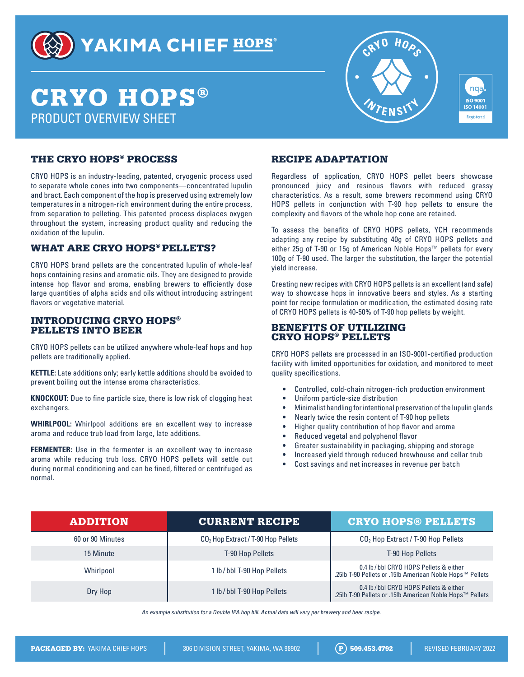

## YAKIMA CHIEF HOPS®

# CRYO HOPS® PRODUCT OVERVIEW SHEET



nqa **ISO 9001 ISO 14001 Registered** 

### THE CRYO HOPS® PROCESS

CRYO HOPS is an industry-leading, patented, cryogenic process used to separate whole cones into two components—concentrated lupulin and bract. Each component of the hop is preserved using extremely low temperatures in a nitrogen-rich environment during the entire process, from separation to pelleting. This patented process displaces oxygen throughout the system, increasing product quality and reducing the oxidation of the lupulin.

#### WHAT ARE CRYO HOPS® PELLETS?

CRYO HOPS brand pellets are the concentrated lupulin of whole-leaf hops containing resins and aromatic oils. They are designed to provide intense hop flavor and aroma, enabling brewers to efficiently dose large quantities of alpha acids and oils without introducing astringent flavors or vegetative material.

#### INTRODUCING CRYO HOPS® PELLETS INTO BEER

CRYO HOPS pellets can be utilized anywhere whole-leaf hops and hop pellets are traditionally applied.

**KETTLE:** Late additions only; early kettle additions should be avoided to prevent boiling out the intense aroma characteristics.

**KNOCKOUT:** Due to fine particle size, there is low risk of clogging heat exchangers.

**WHIRLPOOL:** Whirlpool additions are an excellent way to increase aroma and reduce trub load from large, late additions.

**FERMENTER:** Use in the fermenter is an excellent way to increase aroma while reducing trub loss. CRYO HOPS pellets will settle out during normal conditioning and can be fined, filtered or centrifuged as normal.

### RECIPE ADAPTATION

Regardless of application, CRYO HOPS pellet beers showcase pronounced juicy and resinous flavors with reduced grassy characteristics. As a result, some brewers recommend using CRYO HOPS pellets in conjunction with T-90 hop pellets to ensure the complexity and flavors of the whole hop cone are retained.

To assess the benefits of CRYO HOPS pellets, YCH recommends adapting any recipe by substituting 40g of CRYO HOPS pellets and either 25g of T-90 or 15g of American Noble Hops™ pellets for every 100g of T-90 used. The larger the substitution, the larger the potential yield increase.

Creating new recipes with CRYO HOPS pellets is an excellent (and safe) way to showcase hops in innovative beers and styles. As a starting point for recipe formulation or modification, the estimated dosing rate of CRYO HOPS pellets is 40-50% of T-90 hop pellets by weight.

#### BENEFITS OF UTILIZING CRYO HOPS® PELLETS

CRYO HOPS pellets are processed in an ISO-9001-certified production facility with limited opportunities for oxidation, and monitored to meet quality specifications.

- Controlled, cold-chain nitrogen-rich production environment
- Uniform particle-size distribution
- Minimalist handling for intentional preservation of the lupulin glands
- Nearly twice the resin content of T-90 hop pellets
- Higher quality contribution of hop flavor and aroma
- Reduced vegetal and polyphenol flavor
- Greater sustainability in packaging, shipping and storage
- Increased yield through reduced brewhouse and cellar trub
- Cost savings and net increases in revenue per batch

| <b>ADDITION</b>  | <b>CURRENT RECIPE</b>                | <b>CRYO HOPS® PELLETS</b>                                                                           |
|------------------|--------------------------------------|-----------------------------------------------------------------------------------------------------|
| 60 or 90 Minutes | $CO2$ Hop Extract / T-90 Hop Pellets | CO <sub>2</sub> Hop Extract / T-90 Hop Pellets                                                      |
| 15 Minute        | T-90 Hop Pellets                     | <b>T-90 Hop Pellets</b>                                                                             |
| Whirlpool        | 1 lb/bbl T-90 Hop Pellets            | 0.4 lb/bbl CRYO HOPS Pellets & either<br>.25lb T-90 Pellets or .15lb American Noble Hops™ Pellets   |
| Dry Hop          | 1 lb/bbl T-90 Hop Pellets            | 0.4 lb / bbl CRYO HOPS Pellets & either<br>.25lb T-90 Pellets or .15lb American Noble Hops™ Pellets |

An example substitution for a Double IPA hop bill. Actual data will vary per brewery and beer recipe.